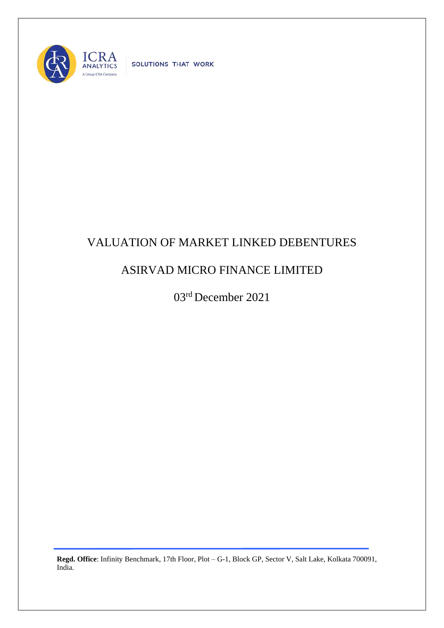

SOLUTIONS THAT WORK

## VALUATION OF MARKET LINKED DEBENTURES

## ASIRVAD MICRO FINANCE LIMITED

03rd December 2021

**Regd. Office**: Infinity Benchmark, 17th Floor, Plot – G-1, Block GP, Sector V, Salt Lake, Kolkata 700091, India.